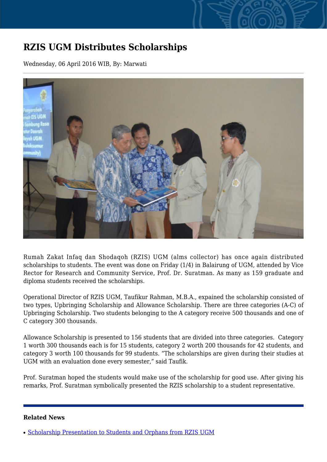## **RZIS UGM Distributes Scholarships**

Wednesday, 06 April 2016 WIB, By: Marwati



Rumah Zakat Infaq dan Shodaqoh (RZIS) UGM (alms collector) has once again distributed scholarships to students. The event was done on Friday (1/4) in Balairung of UGM, attended by Vice Rector for Research and Community Service, Prof. Dr. Suratman. As many as 159 graduate and diploma students received the scholarships.

Operational Director of RZIS UGM, Taufikur Rahman, M.B.A., expained the scholarship consisted of two types, Upbringing Scholarship and Allowance Scholarship. There are three categories (A-C) of Upbringing Scholarship. Two students belonging to the A category receive 500 thousands and one of C category 300 thousands.

Allowance Scholarship is presented to 156 students that are divided into three categories. Category 1 worth 300 thousands each is for 15 students, category 2 worth 200 thousands for 42 students, and category 3 worth 100 thousands for 99 students. "The scholarships are given during their studies at UGM with an evaluation done every semester," said Taufik.

Prof. Suratman hoped the students would make use of the scholarship for good use. After giving his remarks, Prof. Suratman symbolically presented the RZIS scholarship to a student representative.

## **Related News**

<sup>•</sup> [Scholarship Presentation to Students and Orphans from RZIS UGM](http://ugm.ac.id/www.ugm.ac.id//en/news/13398-ugm-zakat-charity-gives-scholarships-to-191-students)